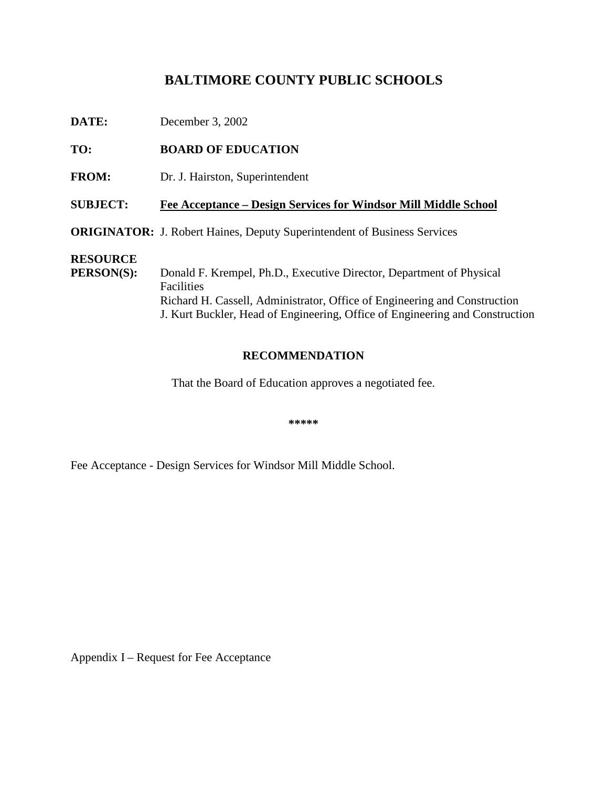## **BALTIMORECOUNTYPUBLICSCHOOLS**

| DATE:                         | December 3,2002                                                                                                                                                                                                                      |
|-------------------------------|--------------------------------------------------------------------------------------------------------------------------------------------------------------------------------------------------------------------------------------|
| TO:                           | <b>BOARDOFEDUCATION</b>                                                                                                                                                                                                              |
| <b>FROM:</b>                  | Dr.J.Hairston,Superintendent                                                                                                                                                                                                         |
| <b>SUBJECT:</b>               | FeeAcceptance -DesignServicesforWindsorMillMiddleSchool                                                                                                                                                                              |
|                               | <b>ORIGINATOR:</b> J.RobertHaines, DeputySuperintendent<br>ofBusinessServices                                                                                                                                                        |
| <b>RESOURCE</b><br>PERSON(S): | DonaldF.Krempel,Ph.D.,ExecutiveDirector,DepartmentofPhysical<br><b>Facilities</b><br>RichardH.Cassell,Administrator,OfficeofEngineeringandConstruction<br>J.KurtBuckler, HeadofEngineering, Office of Engineerin<br>gandConstruction |

## **RECOMMENDATION**

That the Board of Education approves a negotiated fee.

**\*\*\*\*\***

Fee Acceptance - Design Services for Windsor Mill Middle School.

AppendixI -RequestforFeeAcceptance